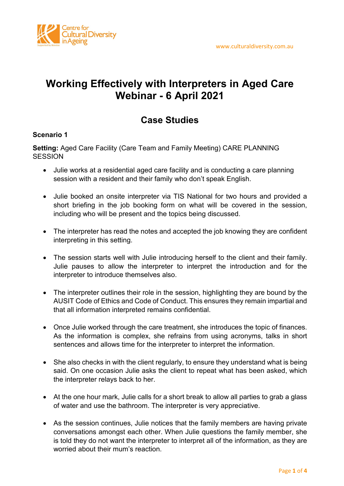

## **Working Effectively with Interpreters in Aged Care Webinar - 6 April 2021**

## **Case Studies**

## **Scenario 1**

**Setting:** Aged Care Facility (Care Team and Family Meeting) CARE PLANNING **SESSION** 

- Julie works at a residential aged care facility and is conducting a care planning session with a resident and their family who don't speak English.
- Julie booked an onsite interpreter via TIS National for two hours and provided a short briefing in the job booking form on what will be covered in the session, including who will be present and the topics being discussed.
- The interpreter has read the notes and accepted the job knowing they are confident interpreting in this setting.
- The session starts well with Julie introducing herself to the client and their family. Julie pauses to allow the interpreter to interpret the introduction and for the interpreter to introduce themselves also.
- The interpreter outlines their role in the session, highlighting they are bound by the AUSIT Code of Ethics and Code of Conduct. This ensures they remain impartial and that all information interpreted remains confidential.
- Once Julie worked through the care treatment, she introduces the topic of finances. As the information is complex, she refrains from using acronyms, talks in short sentences and allows time for the interpreter to interpret the information.
- She also checks in with the client regularly, to ensure they understand what is being said. On one occasion Julie asks the client to repeat what has been asked, which the interpreter relays back to her.
- At the one hour mark, Julie calls for a short break to allow all parties to grab a glass of water and use the bathroom. The interpreter is very appreciative.
- As the session continues, Julie notices that the family members are having private conversations amongst each other. When Julie questions the family member, she is told they do not want the interpreter to interpret all of the information, as they are worried about their mum's reaction.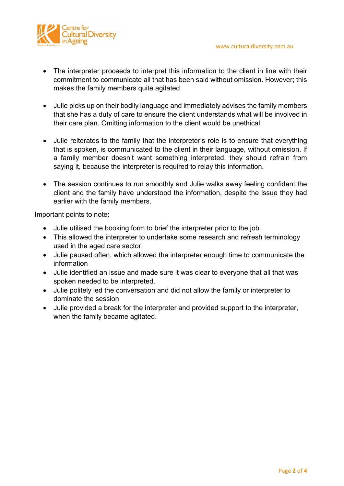

- The interpreter proceeds to interpret this information to the client in line with their commitment to communicate all that has been said without omission. However; this makes the family members quite agitated.
- Julie picks up on their bodily language and immediately advises the family members that she has a duty of care to ensure the client understands what will be involved in their care plan. Omitting information to the client would be unethical.
- Julie reiterates to the family that the interpreter's role is to ensure that everything that is spoken, is communicated to the client in their language, without omission. If a family member doesn't want something interpreted, they should refrain from saying it, because the interpreter is required to relay this information.
- The session continues to run smoothly and Julie walks away feeling confident the client and the family have understood the information, despite the issue they had earlier with the family members.

Important points to note:

- Julie utilised the booking form to brief the interpreter prior to the job.
- This allowed the interpreter to undertake some research and refresh terminology used in the aged care sector.
- Julie paused often, which allowed the interpreter enough time to communicate the information
- Julie identified an issue and made sure it was clear to everyone that all that was spoken needed to be interpreted.
- Julie politely led the conversation and did not allow the family or interpreter to dominate the session
- Julie provided a break for the interpreter and provided support to the interpreter, when the family became agitated.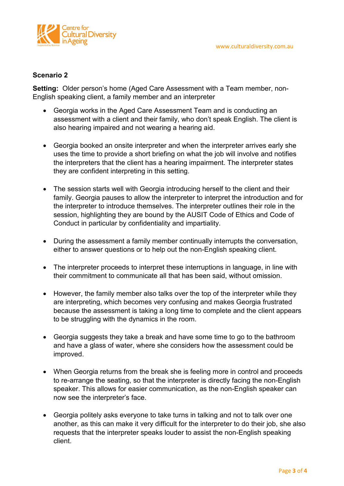

## **Scenario 2**

**Setting:** Older person's home (Aged Care Assessment with a Team member, non-English speaking client, a family member and an interpreter

- Georgia works in the Aged Care Assessment Team and is conducting an assessment with a client and their family, who don't speak English. The client is also hearing impaired and not wearing a hearing aid.
- Georgia booked an onsite interpreter and when the interpreter arrives early she uses the time to provide a short briefing on what the job will involve and notifies the interpreters that the client has a hearing impairment. The interpreter states they are confident interpreting in this setting.
- The session starts well with Georgia introducing herself to the client and their family. Georgia pauses to allow the interpreter to interpret the introduction and for the interpreter to introduce themselves. The interpreter outlines their role in the session, highlighting they are bound by the AUSIT Code of Ethics and Code of Conduct in particular by confidentiality and impartiality.
- During the assessment a family member continually interrupts the conversation, either to answer questions or to help out the non-English speaking client.
- The interpreter proceeds to interpret these interruptions in language, in line with their commitment to communicate all that has been said, without omission.
- However, the family member also talks over the top of the interpreter while they are interpreting, which becomes very confusing and makes Georgia frustrated because the assessment is taking a long time to complete and the client appears to be struggling with the dynamics in the room.
- Georgia suggests they take a break and have some time to go to the bathroom and have a glass of water, where she considers how the assessment could be improved.
- When Georgia returns from the break she is feeling more in control and proceeds to re-arrange the seating, so that the interpreter is directly facing the non-English speaker. This allows for easier communication, as the non-English speaker can now see the interpreter's face.
- Georgia politely asks everyone to take turns in talking and not to talk over one another, as this can make it very difficult for the interpreter to do their job, she also requests that the interpreter speaks louder to assist the non-English speaking client.